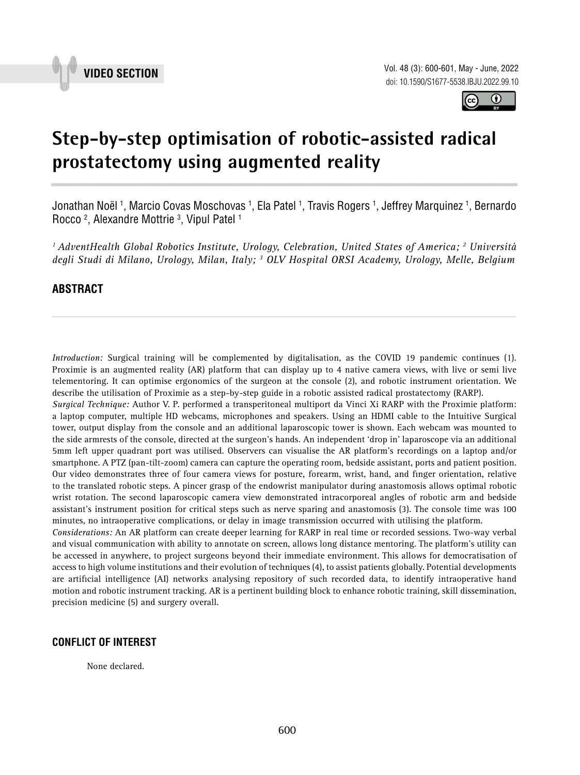



# **Step-by-step optimisation of robotic-assisted radical prostatectomy using augmented reality \_\_\_\_\_\_\_\_\_\_\_\_\_\_\_\_\_\_\_\_\_\_\_\_\_\_\_\_\_\_\_\_\_\_\_\_\_\_\_\_\_\_\_\_\_\_\_**

Jonathan Noël <sup>1</sup>, Marcio Covas Moschovas <sup>1</sup>, Ela Patel <sup>1</sup>, Travis Rogers <sup>1</sup>, Jeffrey Marquinez <sup>1</sup>, Bernardo Rocco 2 , Alexandre Mottrie 3 , Vipul Patel 1

*1 AdventHealth Global Robotics Institute, Urology, Celebration, United States of America; 2 Università degli Studi di Milano, Urology, Milan, Italy; 3 OLV Hospital ORSI Academy, Urology, Melle, Belgium*

*\_\_\_\_\_\_\_\_\_\_\_\_\_\_\_\_\_\_\_\_\_\_\_\_\_\_\_\_\_\_\_\_\_\_\_\_\_\_\_\_\_\_\_\_\_\_\_\_\_\_\_\_\_\_\_\_\_\_\_\_\_\_\_\_\_\_\_\_\_\_\_\_\_\_\_\_\_\_\_\_\_\_\_\_\_\_\_*

## **ABSTRACT**

*Introduction:* Surgical training will be complemented by digitalisation, as the COVID 19 pandemic continues (1). Proximie is an augmented reality (AR) platform that can display up to 4 native camera views, with live or semi live telementoring. It can optimise ergonomics of the surgeon at the console (2), and robotic instrument orientation. We describe the utilisation of Proximie as a step-by-step guide in a robotic assisted radical prostatectomy (RARP).

*Surgical Technique:* Author V. P. performed a transperitoneal multiport da Vinci Xi RARP with the Proximie platform: a laptop computer, multiple HD webcams, microphones and speakers. Using an HDMI cable to the Intuitive Surgical tower, output display from the console and an additional laparoscopic tower is shown. Each webcam was mounted to the side armrests of the console, directed at the surgeon's hands. An independent 'drop in' laparoscope via an additional 5mm left upper quadrant port was utilised. Observers can visualise the AR platform's recordings on a laptop and/or smartphone. A PTZ (pan-tilt-zoom) camera can capture the operating room, bedside assistant, ports and patient position. Our video demonstrates three of four camera views for posture, forearm, wrist, hand, and finger orientation, relative to the translated robotic steps. A pincer grasp of the endowrist manipulator during anastomosis allows optimal robotic wrist rotation. The second laparoscopic camera view demonstrated intracorporeal angles of robotic arm and bedside assistant's instrument position for critical steps such as nerve sparing and anastomosis (3). The console time was 100 minutes, no intraoperative complications, or delay in image transmission occurred with utilising the platform.

*Considerations:* An AR platform can create deeper learning for RARP in real time or recorded sessions. Two-way verbal and visual communication with ability to annotate on screen, allows long distance mentoring. The platform's utility can be accessed in anywhere, to project surgeons beyond their immediate environment. This allows for democratisation of access to high volume institutions and their evolution of techniques (4), to assist patients globally. Potential developments are artificial intelligence (AI) networks analysing repository of such recorded data, to identify intraoperative hand motion and robotic instrument tracking. AR is a pertinent building block to enhance robotic training, skill dissemination, precision medicine (5) and surgery overall.

#### **CONFLICT OF INTEREST**

None declared.